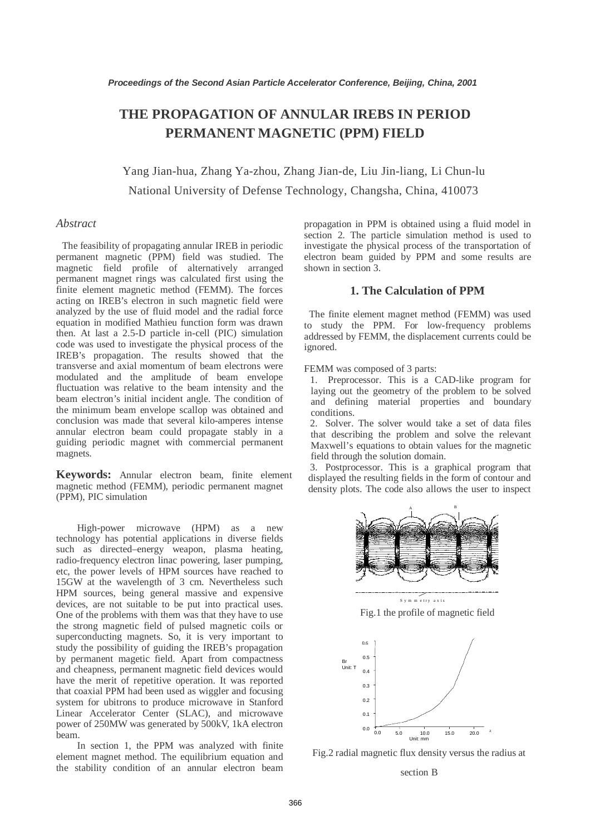# **THE PROPAGATION OF ANNULAR IREBS IN PERIOD PERMANENT MAGNETIC (PPM) FIELD**

Yang Jian-hua, Zhang Ya-zhou, Zhang Jian-de, Liu Jin-liang, Li Chun-lu National University of Defense Technology, Changsha, China, 410073

# *Abstract*

The feasibility of propagating annular IREB in periodic permanent magnetic (PPM) field was studied. The magnetic field profile of alternatively arranged permanent magnet rings was calculated first using the finite element magnetic method (FEMM). The forces acting on IREB's electron in such magnetic field were analyzed by the use of fluid model and the radial force equation in modified Mathieu function form was drawn then. At last a 2.5-D particle in-cell (PIC) simulation code was used to investigate the physical process of the IREB's propagation. The results showed that the transverse and axial momentum of beam electrons were modulated and the amplitude of beam envelope fluctuation was relative to the beam intensity and the beam electron's initial incident angle. The condition of the minimum beam envelope scallop was obtained and conclusion was made that several kilo-amperes intense annular electron beam could propagate stably in a guiding periodic magnet with commercial permanent magnets.

**Keywords:** Annular electron beam, finite element magnetic method (FEMM), periodic permanent magnet (PPM), PIC simulation

High-power microwave (HPM) as a new technology has potential applications in diverse fields such as directed–energy weapon, plasma heating, radio-frequency electron linac powering, laser pumping, etc, the power levels of HPM sources have reached to 15GW at the wavelength of 3 cm. Nevertheless such HPM sources, being general massive and expensive devices, are not suitable to be put into practical uses. One of the problems with them was that they have to use the strong magnetic field of pulsed magnetic coils or superconducting magnets. So, it is very important to study the possibility of guiding the IREB's propagation by permanent magetic field. Apart from compactness and cheapness, permanent magnetic field devices would have the merit of repetitive operation. It was reported that coaxial PPM had been used as wiggler and focusing system for ubitrons to produce microwave in Stanford Linear Accelerator Center (SLAC), and microwave power of 250MW was generated by 500kV, 1kA electron beam.

In section 1, the PPM was analyzed with finite element magnet method. The equilibrium equation and the stability condition of an annular electron beam propagation in PPM is obtained using a fluid model in section 2. The particle simulation method is used to investigate the physical process of the transportation of electron beam guided by PPM and some results are shown in section 3.

## **1. The Calculation of PPM**

 The finite element magnet method (FEMM) was used to study the PPM. For low-frequency problems addressed by FEMM, the displacement currents could be ignored.

FEMM was composed of 3 parts:

1. Preprocessor. This is a CAD-like program for laying out the geometry of the problem to be solved and defining material properties and boundary conditions.

2. Solver. The solver would take a set of data files that describing the problem and solve the relevant Maxwell's equations to obtain values for the magnetic field through the solution domain.

3. Postprocessor. This is a graphical program that displayed the resulting fields in the form of contour and density plots. The code also allows the user to inspect



Fig.1 the profile of magnetic field



Fig.2 radial magnetic flux density versus the radius at

section B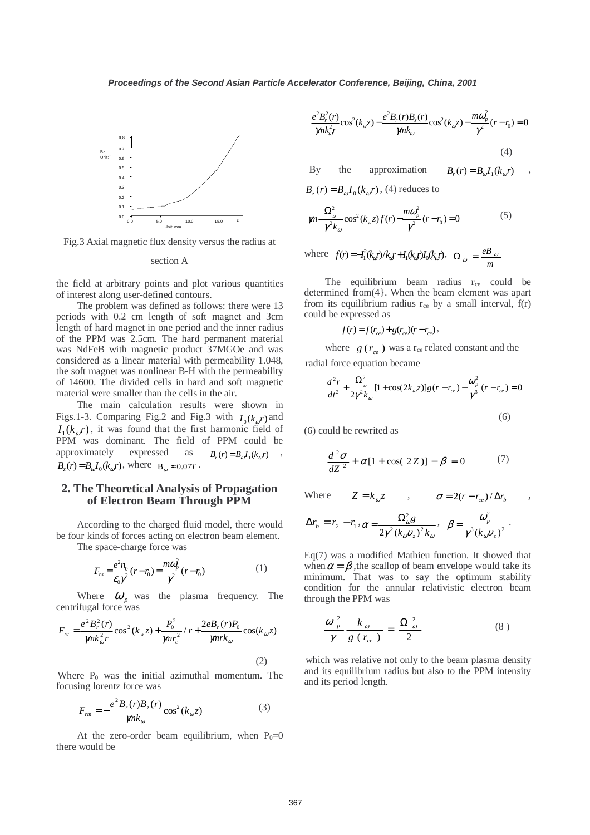

Fig.3 Axial magnetic flux density versus the radius at

#### section A

the field at arbitrary points and plot various quantities of interest along user-defined contours.

The problem was defined as follows: there were 13 periods with 0.2 cm length of soft magnet and 3cm length of hard magnet in one period and the inner radius of the PPM was 2.5cm. The hard permanent material was NdFeB with magnetic product 37MGOe and was considered as a linear material with permeability 1.048, the soft magnet was nonlinear B-H with the permeability of 14600. The divided cells in hard and soft magnetic material were smaller than the cells in the air.

The main calculation results were shown in Figs.1-3. Comparing Fig.2 and Fig.3 with  $I_0(k_a r)$  and  $I_1(k_a r)$ , it was found that the first harmonic field of PPM was dominant. The field of PPM could be approximately expressed as  $B_r(r) = B_{\omega} I_1(k_{\omega} r)$ ,  $B_r(r) = B_{\omega} I_0(k_{\omega} r)$ , where  $B_{\omega} \approx 0.07T$ .

## **2. The Theoretical Analysis of Propagation of Electron Beam Through PPM**

According to the charged fluid model, there would be four kinds of forces acting on electron beam element.

The space-charge force was

$$
F_{rs} = \frac{e^2 n_0}{\epsilon_0 \gamma^2} (r - r_0) = \frac{m \omega_p^2}{\gamma^2} (r - r_0)
$$
 (1)

Where  $\omega_p$  was the plasma frequency. The centrifugal force was

$$
F_{rc} = \frac{e^2 B_r^2(r)}{m k_{\omega}^2 r} \cos^2(k_w z) + \frac{P_0^2}{m r_c^2} / r + \frac{2e B_r(r) P_0}{m r k_{\omega}} \cos(k_{\omega} z)
$$
\n(2)

Where  $P_0$  was the initial azimuthal momentum. The focusing lorentz force was

$$
F_{rm} = -\frac{e^2 B_r(r) B_z(r)}{m k_{\omega}} \cos^2(k_{\omega} z)
$$
 (3)

At the zero-order beam equilibrium, when  $P_0=0$ there would be

$$
\frac{e^2 B_r^2(r)}{m k_{\omega}^2 r} \cos^2(k_{w} z) - \frac{e^2 B_r(r) B_z(r)}{m k_{\omega}} \cos^2(k_{\omega} z) - \frac{m \omega_p^2}{\gamma^2} (r - r_0) = 0
$$
\n(4)

By the approximation 
$$
B_r(r) = B_{\omega} I_1(k_{\omega}r)
$$
,

 $B_{\tau}(r) = B_{\omega} I_0(k_{\omega} r)$ , (4) reduces to

$$
\gamma m \frac{\Omega_{\omega}^2}{\gamma^2 k_{\omega}} \cos^2(k_{w} z) f(r) - \frac{m \omega_{p}^2}{\gamma^2} (r - r_0) = 0
$$
 (5)

where 
$$
f(r) = -I_1^2(k_a r)/k_a r + I_1(k_a r)I_0(k_a r)
$$
,  $\Omega_{\omega} = \frac{eB_{\omega}}{m}$ 

The equilibrium beam radius  $r_{ce}$  could be determined from(4}. When the beam element was apart from its equilibrium radius  $r_{ce}$  by a small interval,  $f(r)$ could be expressed as

$$
f(r) = f(r_{ce}) + g(r_{ce})(r - r_{ce}),
$$

where  $g(r_{ce})$  was a r<sub>ce</sub> related constant and the radial force equation became

$$
\frac{d^2r}{dt^2} + \frac{\Omega_\omega^2}{2\gamma^2 k_\omega} [1 + \cos(2k_\omega z)] g(r - r_\omega) - \frac{\omega_p^2}{\gamma^3} (r - r_\omega) = 0
$$
\n(6)

(6) could be rewrited as

$$
\frac{d^2\sigma}{dZ^2} + \alpha[1 + \cos(2Z)] - \beta = 0 \tag{7}
$$

Where  $Z = k_{\omega} z$ ,  $\sigma = 2(r - r_{ce})/\Delta r_{h}$ 2 2

$$
\Delta r_b = r_2 - r_1, \alpha = \frac{\Omega_{\omega}^2 g}{2\gamma^2 (k_{\omega} v_z)^2 k_{\omega}}, \ \ \beta = \frac{\omega_p^2}{\gamma^3 (k_{\omega} v_z)^2}.
$$

Eq(7) was a modified Mathieu function. It showed that when  $\alpha = \beta$ , the scallop of beam envelope would take its minimum. That was to say the optimum stability condition for the annular relativistic electron beam through the PPM was

$$
\frac{\omega_p^2}{\gamma} \frac{k_{\omega}}{g(r_{ce})} = \frac{\Omega_{\omega}^2}{2} \tag{8}
$$

which was relative not only to the beam plasma density and its equilibrium radius but also to the PPM intensity and its period length.